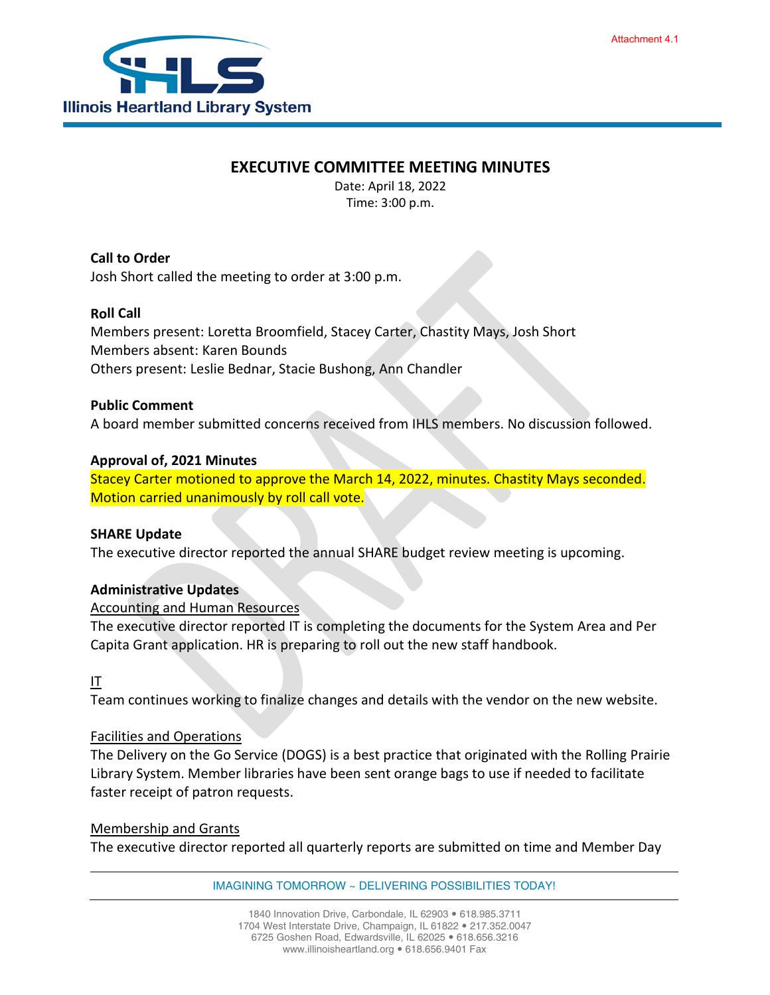# **EXECUTIVE COMMITTEE MEETING MINUTES**

Date: April 18, 2022 Time: 3:00 p.m.

**Call to Order** Josh Short called the meeting to order at 3:00 p.m.

## **Roll Call**

Members present: Loretta Broomfield, Stacey Carter, Chastity Mays, Josh Short Members absent: Karen Bounds Others present: Leslie Bednar, Stacie Bushong, Ann Chandler

### **Public Comment**

A board member submitted concerns received from IHLS members. No discussion followed.

#### **Approval of, 2021 Minutes**

Stacey Carter motioned to approve the March 14, 2022, minutes. Chastity Mays seconded. Motion carried unanimously by roll call vote.

#### **SHARE Update**

The executive director reported the annual SHARE budget review meeting is upcoming.

### **Administrative Updates**

### Accounting and Human Resources

The executive director reported IT is completing the documents for the System Area and Per Capita Grant application. HR is preparing to roll out the new staff handbook.

### IT

Team continues working to finalize changes and details with the vendor on the new website.

#### Facilities and Operations

The Delivery on the Go Service (DOGS) is a best practice that originated with the Rolling Prairie Library System. Member libraries have been sent orange bags to use if needed to facilitate faster receipt of patron requests.

#### Membership and Grants

The executive director reported all quarterly reports are submitted on time and Member Day

IMAGINING TOMORROW ~ DELIVERING POSSIBILITIES TODAY!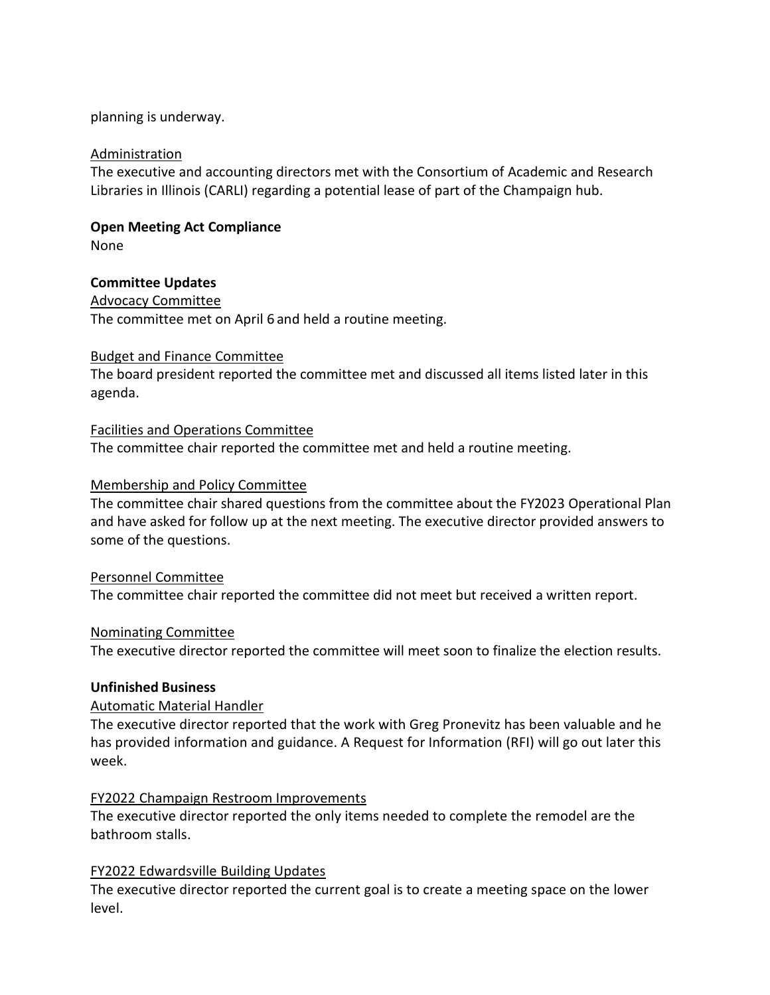### planning is underway.

#### Administration

The executive and accounting directors met with the Consortium of Academic and Research Libraries in Illinois (CARLI) regarding a potential lease of part of the Champaign hub.

# **Open Meeting Act Compliance**

None

### **Committee Updates**

Advocacy Committee The committee met on April 6 and held a routine meeting.

### Budget and Finance Committee

The board president reported the committee met and discussed all items listed later in this agenda.

## Facilities and Operations Committee

The committee chair reported the committee met and held a routine meeting.

### Membership and Policy Committee

The committee chair shared questions from the committee about the FY2023 Operational Plan and have asked for follow up at the next meeting. The executive director provided answers to some of the questions.

### Personnel Committee

The committee chair reported the committee did not meet but received a written report.

### Nominating Committee

The executive director reported the committee will meet soon to finalize the election results.

### **Unfinished Business**

### Automatic Material Handler

The executive director reported that the work with Greg Pronevitz has been valuable and he has provided information and guidance. A Request for Information (RFI) will go out later this week.

### FY2022 Champaign Restroom Improvements

The executive director reported the only items needed to complete the remodel are the bathroom stalls.

### FY2022 Edwardsville Building Updates

The executive director reported the current goal is to create a meeting space on the lower level.